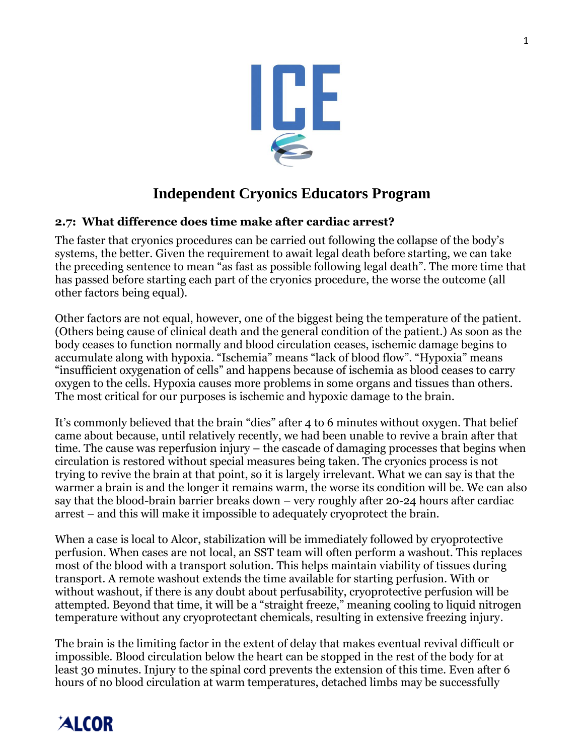

## **Independent Cryonics Educators Program**

### **2.7: What difference does time make after cardiac arrest?**

The faster that cryonics procedures can be carried out following the collapse of the body's systems, the better. Given the requirement to await legal death before starting, we can take the preceding sentence to mean "as fast as possible following legal death". The more time that has passed before starting each part of the cryonics procedure, the worse the outcome (all other factors being equal).

Other factors are not equal, however, one of the biggest being the temperature of the patient. (Others being cause of clinical death and the general condition of the patient.) As soon as the body ceases to function normally and blood circulation ceases, ischemic damage begins to accumulate along with hypoxia. "Ischemia" means "lack of blood flow". "Hypoxia" means "insufficient oxygenation of cells" and happens because of ischemia as blood ceases to carry oxygen to the cells. Hypoxia causes more problems in some organs and tissues than others. The most critical for our purposes is ischemic and hypoxic damage to the brain.

It's commonly believed that the brain "dies" after 4 to 6 minutes without oxygen. That belief came about because, until relatively recently, we had been unable to revive a brain after that time. The cause was reperfusion injury – the cascade of damaging processes that begins when circulation is restored without special measures being taken. The cryonics process is not trying to revive the brain at that point, so it is largely irrelevant. What we can say is that the warmer a brain is and the longer it remains warm, the worse its condition will be. We can also say that the blood-brain barrier breaks down – very roughly after 20-24 hours after cardiac arrest – and this will make it impossible to adequately cryoprotect the brain.

When a case is local to Alcor, stabilization will be immediately followed by cryoprotective perfusion. When cases are not local, an SST team will often perform a washout. This replaces most of the blood with a transport solution. This helps maintain viability of tissues during transport. A remote washout extends the time available for starting perfusion. With or without washout, if there is any doubt about perfusability, cryoprotective perfusion will be attempted. Beyond that time, it will be a "straight freeze," meaning cooling to liquid nitrogen temperature without any cryoprotectant chemicals, resulting in extensive freezing injury.

The brain is the limiting factor in the extent of delay that makes eventual revival difficult or impossible. Blood circulation below the heart can be stopped in the rest of the body for at least 30 minutes. Injury to the spinal cord prevents the extension of this time. Even after 6 hours of no blood circulation at warm temperatures, detached limbs may be successfully

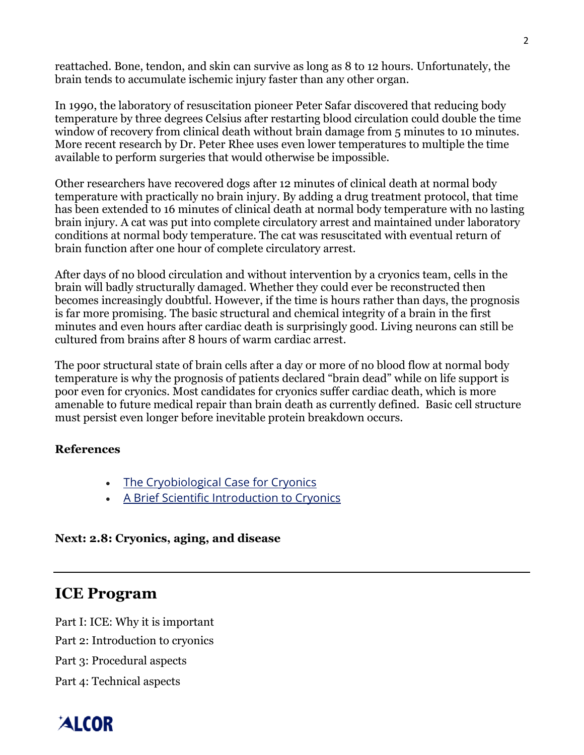reattached. Bone, tendon, and skin can survive as long as 8 to 12 hours. Unfortunately, the brain tends to accumulate ischemic injury faster than any other organ.

In 1990, the laboratory of resuscitation pioneer Peter Safar discovered that reducing body temperature by three degrees Celsius after restarting blood circulation could double the time window of recovery from clinical death without brain damage from 5 minutes to 10 minutes. More recent research by Dr. Peter Rhee uses even lower temperatures to multiple the time available to perform surgeries that would otherwise be impossible.

Other researchers have recovered dogs after 12 minutes of clinical death at normal body temperature with practically no brain injury. By adding a drug treatment protocol, that time has been extended to 16 minutes of clinical death at normal body temperature with no lasting brain injury. A cat was put into complete circulatory arrest and maintained under laboratory conditions at normal body temperature. The cat was resuscitated with eventual return of brain function after one hour of complete circulatory arrest.

After days of no blood circulation and without intervention by a cryonics team, cells in the brain will badly structurally damaged. Whether they could ever be reconstructed then becomes increasingly doubtful. However, if the time is hours rather than days, the prognosis is far more promising. The basic structural and chemical integrity of a brain in the first minutes and even hours after cardiac death is surprisingly good. Living neurons can still be cultured from brains after 8 hours of warm cardiac arrest.

The poor structural state of brain cells after a day or more of no blood flow at normal body temperature is why the prognosis of patients declared "brain dead" while on life support is poor even for cryonics. Most candidates for cryonics suffer cardiac death, which is more amenable to future medical repair than brain death as currently defined. Basic cell structure must persist even longer before inevitable protein breakdown occurs.

#### **References**

- The [Cryobiological](https://www.alcor.org/library/the-cryobiological-case-for-cryonics/) Case for Cryonics
- A Brief Scientific [Introduction](https://www.alcor.org/library/a-brief-scientific-introduction-to-cryonics/) to Cryonics

#### **Next: 2.8: Cryonics, aging, and disease**

## **ICE Program**

Part I: ICE: Why it is important

Part 2: Introduction to cryonics

Part 3: Procedural aspects

Part 4: Technical aspects